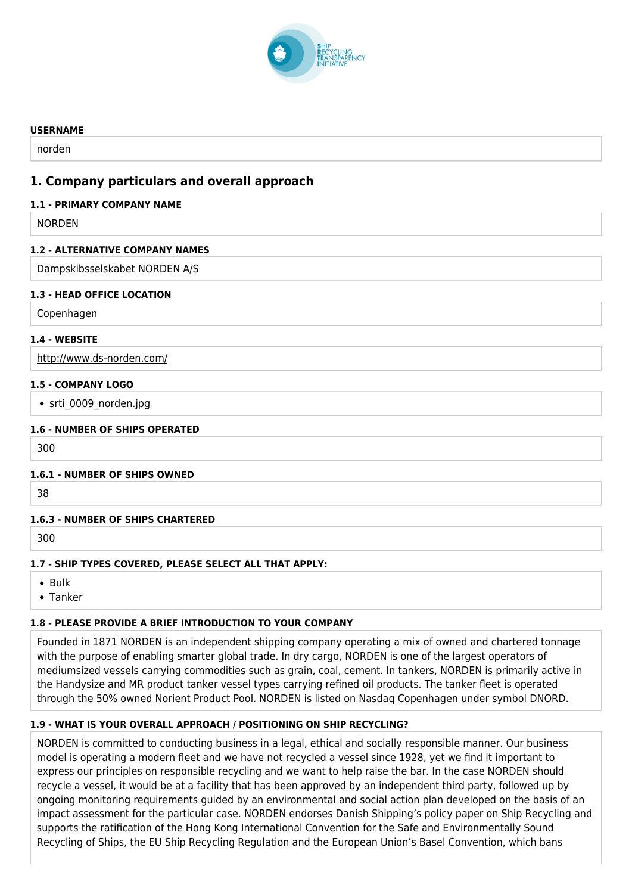

#### **USERNAME**

norden

## **1. Company particulars and overall approach**

#### **1.1 - PRIMARY COMPANY NAME**

NORDEN

#### **1.2 - ALTERNATIVE COMPANY NAMES**

Dampskibsselskabet NORDEN A/S

#### **1.3 - HEAD OFFICE LOCATION**

Copenhagen

#### **1.4 - WEBSITE**

<http://www.ds-norden.com/>

#### **1.5 - COMPANY LOGO**

• [srti\\_0009\\_norden.jpg](http://www.shiprecyclingtransparency.org/wp-content/uploads/gravity_forms/1-90ab26b4ee552bd8919070d84c2cb61a/2020/10/srti_0009_norden.jpg)

#### **1.6 - NUMBER OF SHIPS OPERATED**

300

#### **1.6.1 - NUMBER OF SHIPS OWNED**

38

### **1.6.3 - NUMBER OF SHIPS CHARTERED**

300

### **1.7 - SHIP TYPES COVERED, PLEASE SELECT ALL THAT APPLY:**

 $\bullet$  Rulk

Tanker

### **1.8 - PLEASE PROVIDE A BRIEF INTRODUCTION TO YOUR COMPANY**

Founded in 1871 NORDEN is an independent shipping company operating a mix of owned and chartered tonnage with the purpose of enabling smarter global trade. In dry cargo, NORDEN is one of the largest operators of mediumsized vessels carrying commodities such as grain, coal, cement. In tankers, NORDEN is primarily active in the Handysize and MR product tanker vessel types carrying refined oil products. The tanker fleet is operated through the 50% owned Norient Product Pool. NORDEN is listed on Nasdaq Copenhagen under symbol DNORD.

### **1.9 - WHAT IS YOUR OVERALL APPROACH / POSITIONING ON SHIP RECYCLING?**

NORDEN is committed to conducting business in a legal, ethical and socially responsible manner. Our business model is operating a modern fleet and we have not recycled a vessel since 1928, yet we find it important to express our principles on responsible recycling and we want to help raise the bar. In the case NORDEN should recycle a vessel, it would be at a facility that has been approved by an independent third party, followed up by ongoing monitoring requirements guided by an environmental and social action plan developed on the basis of an impact assessment for the particular case. NORDEN endorses Danish Shipping's policy paper on Ship Recycling and supports the ratification of the Hong Kong International Convention for the Safe and Environmentally Sound Recycling of Ships, the EU Ship Recycling Regulation and the European Union's Basel Convention, which bans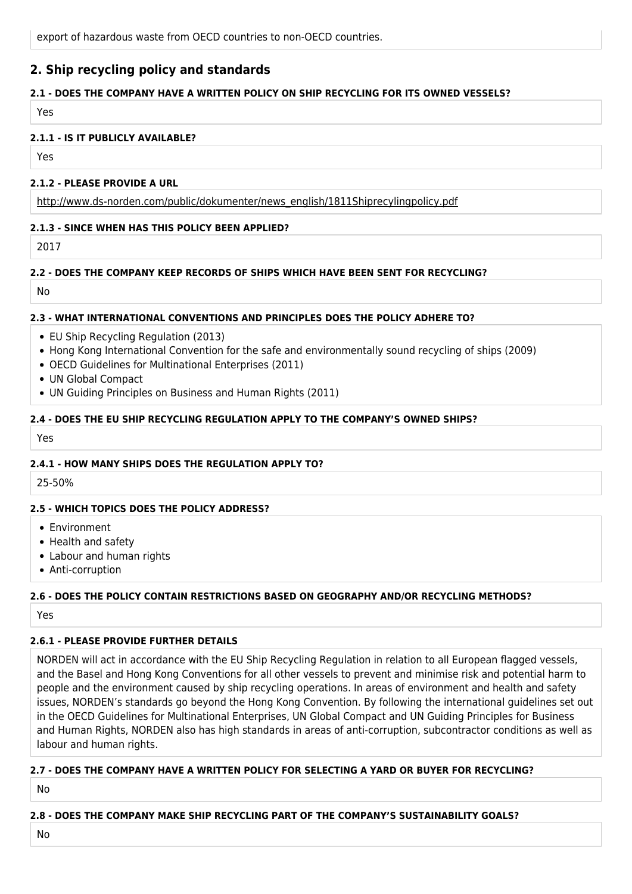## **2. Ship recycling policy and standards**

### **2.1 - DOES THE COMPANY HAVE A WRITTEN POLICY ON SHIP RECYCLING FOR ITS OWNED VESSELS?**

Yes

#### **2.1.1 - IS IT PUBLICLY AVAILABLE?**

Yes

#### **2.1.2 - PLEASE PROVIDE A URL**

[http://www.ds-norden.com/public/dokumenter/news\\_english/1811Shiprecylingpolicy.pdf](http://www.ds-norden.com/public/dokumenter/news_english/1811Shiprecylingpolicy.pdf)

### **2.1.3 - SINCE WHEN HAS THIS POLICY BEEN APPLIED?**

2017

#### **2.2 - DOES THE COMPANY KEEP RECORDS OF SHIPS WHICH HAVE BEEN SENT FOR RECYCLING?**

No

#### **2.3 - WHAT INTERNATIONAL CONVENTIONS AND PRINCIPLES DOES THE POLICY ADHERE TO?**

- EU Ship Recycling Regulation (2013)
- Hong Kong International Convention for the safe and environmentally sound recycling of ships (2009)
- OECD Guidelines for Multinational Enterprises (2011)
- UN Global Compact
- UN Guiding Principles on Business and Human Rights (2011)

### **2.4 - DOES THE EU SHIP RECYCLING REGULATION APPLY TO THE COMPANY'S OWNED SHIPS?**

Yes

### **2.4.1 - HOW MANY SHIPS DOES THE REGULATION APPLY TO?**

25-50%

### **2.5 - WHICH TOPICS DOES THE POLICY ADDRESS?**

- Environment
- Health and safety
- Labour and human rights
- Anti-corruption

### **2.6 - DOES THE POLICY CONTAIN RESTRICTIONS BASED ON GEOGRAPHY AND/OR RECYCLING METHODS?**

Yes

# **2.6.1 - PLEASE PROVIDE FURTHER DETAILS**

NORDEN will act in accordance with the EU Ship Recycling Regulation in relation to all European flagged vessels, and the Basel and Hong Kong Conventions for all other vessels to prevent and minimise risk and potential harm to people and the environment caused by ship recycling operations. In areas of environment and health and safety issues, NORDEN's standards go beyond the Hong Kong Convention. By following the international guidelines set out in the OECD Guidelines for Multinational Enterprises, UN Global Compact and UN Guiding Principles for Business and Human Rights, NORDEN also has high standards in areas of anti-corruption, subcontractor conditions as well as labour and human rights.

# **2.7 - DOES THE COMPANY HAVE A WRITTEN POLICY FOR SELECTING A YARD OR BUYER FOR RECYCLING?**

No

### **2.8 - DOES THE COMPANY MAKE SHIP RECYCLING PART OF THE COMPANY'S SUSTAINABILITY GOALS?**

No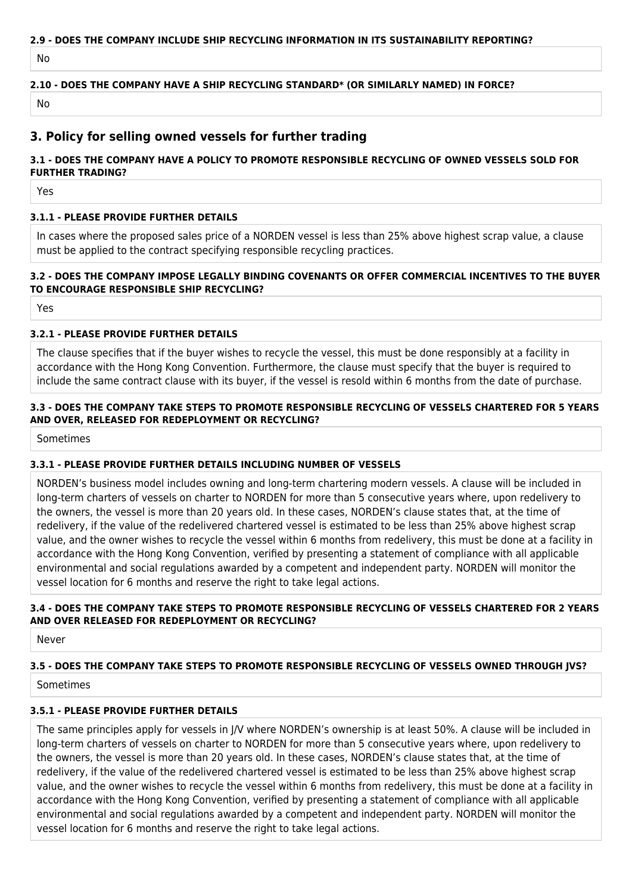# **2.9 - DOES THE COMPANY INCLUDE SHIP RECYCLING INFORMATION IN ITS SUSTAINABILITY REPORTING?**

No

### **2.10 - DOES THE COMPANY HAVE A SHIP RECYCLING STANDARD\* (OR SIMILARLY NAMED) IN FORCE?**

No

## **3. Policy for selling owned vessels for further trading**

### **3.1 - DOES THE COMPANY HAVE A POLICY TO PROMOTE RESPONSIBLE RECYCLING OF OWNED VESSELS SOLD FOR FURTHER TRADING?**

Yes

### **3.1.1 - PLEASE PROVIDE FURTHER DETAILS**

In cases where the proposed sales price of a NORDEN vessel is less than 25% above highest scrap value, a clause must be applied to the contract specifying responsible recycling practices.

### **3.2 - DOES THE COMPANY IMPOSE LEGALLY BINDING COVENANTS OR OFFER COMMERCIAL INCENTIVES TO THE BUYER TO ENCOURAGE RESPONSIBLE SHIP RECYCLING?**

Yes

### **3.2.1 - PLEASE PROVIDE FURTHER DETAILS**

The clause specifies that if the buyer wishes to recycle the vessel, this must be done responsibly at a facility in accordance with the Hong Kong Convention. Furthermore, the clause must specify that the buyer is required to include the same contract clause with its buyer, if the vessel is resold within 6 months from the date of purchase.

### **3.3 - DOES THE COMPANY TAKE STEPS TO PROMOTE RESPONSIBLE RECYCLING OF VESSELS CHARTERED FOR 5 YEARS AND OVER, RELEASED FOR REDEPLOYMENT OR RECYCLING?**

Sometimes

### **3.3.1 - PLEASE PROVIDE FURTHER DETAILS INCLUDING NUMBER OF VESSELS**

NORDEN's business model includes owning and long-term chartering modern vessels. A clause will be included in long-term charters of vessels on charter to NORDEN for more than 5 consecutive years where, upon redelivery to the owners, the vessel is more than 20 years old. In these cases, NORDEN's clause states that, at the time of redelivery, if the value of the redelivered chartered vessel is estimated to be less than 25% above highest scrap value, and the owner wishes to recycle the vessel within 6 months from redelivery, this must be done at a facility in accordance with the Hong Kong Convention, verified by presenting a statement of compliance with all applicable environmental and social regulations awarded by a competent and independent party. NORDEN will monitor the vessel location for 6 months and reserve the right to take legal actions.

### **3.4 - DOES THE COMPANY TAKE STEPS TO PROMOTE RESPONSIBLE RECYCLING OF VESSELS CHARTERED FOR 2 YEARS AND OVER RELEASED FOR REDEPLOYMENT OR RECYCLING?**

Never

### **3.5 - DOES THE COMPANY TAKE STEPS TO PROMOTE RESPONSIBLE RECYCLING OF VESSELS OWNED THROUGH JVS?**

Sometimes

### **3.5.1 - PLEASE PROVIDE FURTHER DETAILS**

The same principles apply for vessels in J/V where NORDEN's ownership is at least 50%. A clause will be included in long-term charters of vessels on charter to NORDEN for more than 5 consecutive years where, upon redelivery to the owners, the vessel is more than 20 years old. In these cases, NORDEN's clause states that, at the time of redelivery, if the value of the redelivered chartered vessel is estimated to be less than 25% above highest scrap value, and the owner wishes to recycle the vessel within 6 months from redelivery, this must be done at a facility in accordance with the Hong Kong Convention, verified by presenting a statement of compliance with all applicable environmental and social regulations awarded by a competent and independent party. NORDEN will monitor the vessel location for 6 months and reserve the right to take legal actions.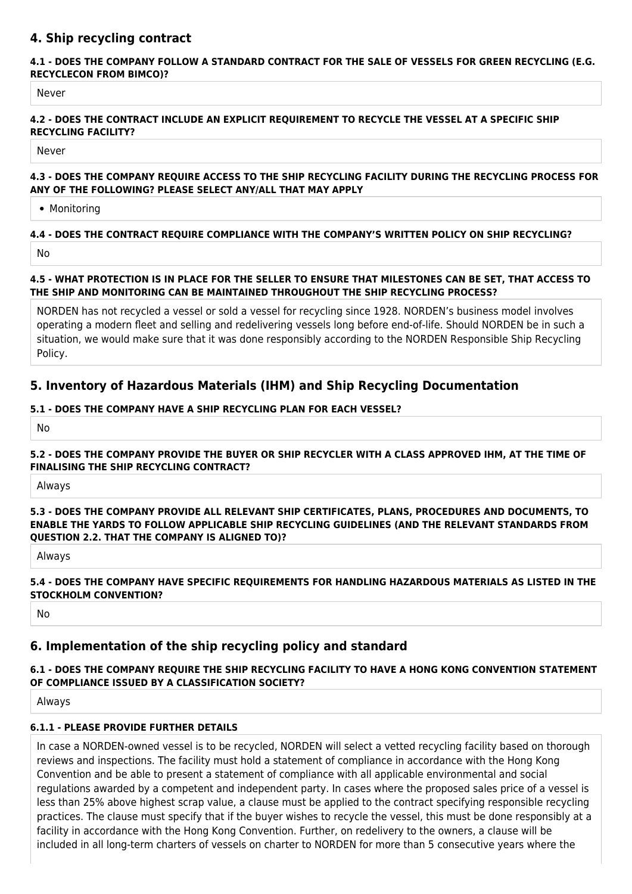# **4. Ship recycling contract**

#### **4.1 - DOES THE COMPANY FOLLOW A STANDARD CONTRACT FOR THE SALE OF VESSELS FOR GREEN RECYCLING (E.G. RECYCLECON FROM BIMCO)?**

Never

### **4.2 - DOES THE CONTRACT INCLUDE AN EXPLICIT REQUIREMENT TO RECYCLE THE VESSEL AT A SPECIFIC SHIP RECYCLING FACILITY?**

Never

### **4.3 - DOES THE COMPANY REQUIRE ACCESS TO THE SHIP RECYCLING FACILITY DURING THE RECYCLING PROCESS FOR ANY OF THE FOLLOWING? PLEASE SELECT ANY/ALL THAT MAY APPLY**

• Monitoring

## **4.4 - DOES THE CONTRACT REQUIRE COMPLIANCE WITH THE COMPANY'S WRITTEN POLICY ON SHIP RECYCLING?** No

## **4.5 - WHAT PROTECTION IS IN PLACE FOR THE SELLER TO ENSURE THAT MILESTONES CAN BE SET, THAT ACCESS TO THE SHIP AND MONITORING CAN BE MAINTAINED THROUGHOUT THE SHIP RECYCLING PROCESS?**

NORDEN has not recycled a vessel or sold a vessel for recycling since 1928. NORDEN's business model involves operating a modern fleet and selling and redelivering vessels long before end-of-life. Should NORDEN be in such a situation, we would make sure that it was done responsibly according to the NORDEN Responsible Ship Recycling Policy.

# **5. Inventory of Hazardous Materials (IHM) and Ship Recycling Documentation**

## **5.1 - DOES THE COMPANY HAVE A SHIP RECYCLING PLAN FOR EACH VESSEL?**

No

### **5.2 - DOES THE COMPANY PROVIDE THE BUYER OR SHIP RECYCLER WITH A CLASS APPROVED IHM, AT THE TIME OF FINALISING THE SHIP RECYCLING CONTRACT?**

Always

#### **5.3 - DOES THE COMPANY PROVIDE ALL RELEVANT SHIP CERTIFICATES, PLANS, PROCEDURES AND DOCUMENTS, TO ENABLE THE YARDS TO FOLLOW APPLICABLE SHIP RECYCLING GUIDELINES (AND THE RELEVANT STANDARDS FROM QUESTION 2.2. THAT THE COMPANY IS ALIGNED TO)?**

Always

### **5.4 - DOES THE COMPANY HAVE SPECIFIC REQUIREMENTS FOR HANDLING HAZARDOUS MATERIALS AS LISTED IN THE STOCKHOLM CONVENTION?**

No

# **6. Implementation of the ship recycling policy and standard**

## **6.1 - DOES THE COMPANY REQUIRE THE SHIP RECYCLING FACILITY TO HAVE A HONG KONG CONVENTION STATEMENT OF COMPLIANCE ISSUED BY A CLASSIFICATION SOCIETY?**

Always

## **6.1.1 - PLEASE PROVIDE FURTHER DETAILS**

In case a NORDEN-owned vessel is to be recycled, NORDEN will select a vetted recycling facility based on thorough reviews and inspections. The facility must hold a statement of compliance in accordance with the Hong Kong Convention and be able to present a statement of compliance with all applicable environmental and social regulations awarded by a competent and independent party. In cases where the proposed sales price of a vessel is less than 25% above highest scrap value, a clause must be applied to the contract specifying responsible recycling practices. The clause must specify that if the buyer wishes to recycle the vessel, this must be done responsibly at a facility in accordance with the Hong Kong Convention. Further, on redelivery to the owners, a clause will be included in all long-term charters of vessels on charter to NORDEN for more than 5 consecutive years where the